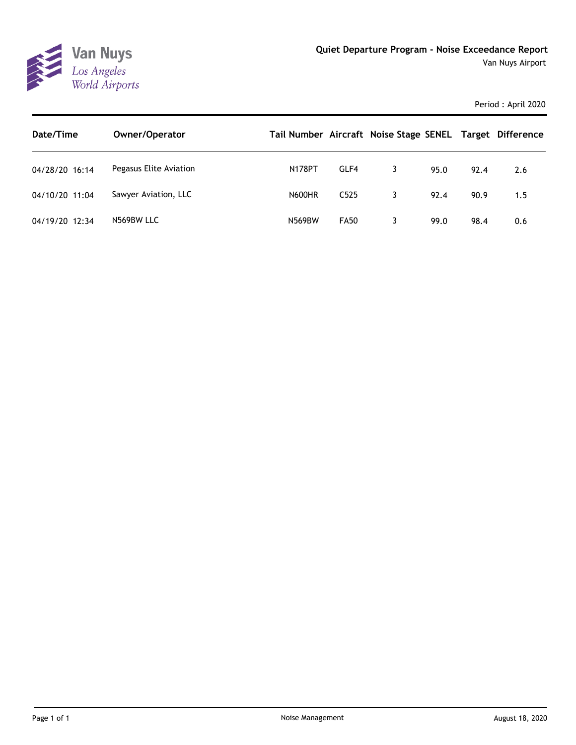

Period : April 2020

| Date/Time      | Owner/Operator         | Tail Number Aircraft Noise Stage SENEL Target Difference |                  |   |      |      |     |
|----------------|------------------------|----------------------------------------------------------|------------------|---|------|------|-----|
| 04/28/20 16:14 | Pegasus Elite Aviation | <b>N178PT</b>                                            | GLF4             | 3 | 95.0 | 92.4 | 2.6 |
| 04/10/20 11:04 | Sawyer Aviation, LLC   | <b>N600HR</b>                                            | C <sub>525</sub> | 3 | 92.4 | 90.9 | 1.5 |
| 04/19/20 12:34 | N569BW LLC             | <b>N569BW</b>                                            | <b>FA50</b>      |   | 99.0 | 98.4 | 0.6 |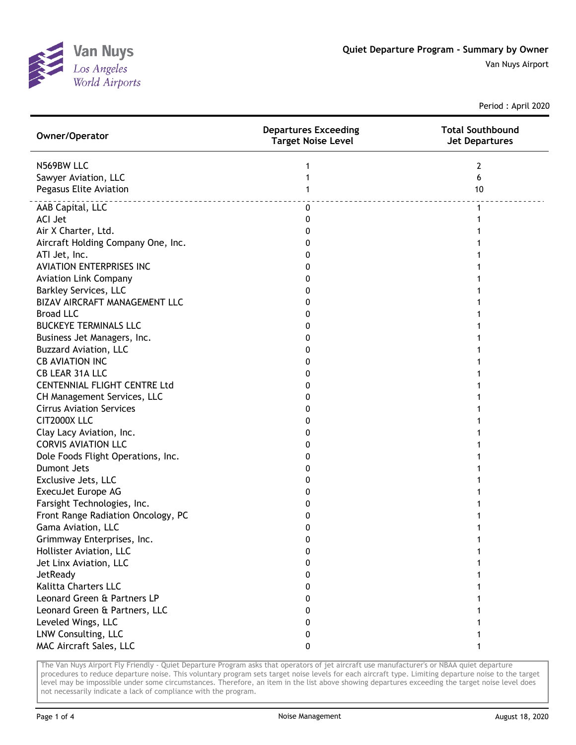

Van Nuys Airport

Period : April 2020

| Owner/Operator                      | <b>Departures Exceeding</b><br><b>Target Noise Level</b> | <b>Total Southbound</b><br><b>Jet Departures</b> |
|-------------------------------------|----------------------------------------------------------|--------------------------------------------------|
| N569BW LLC                          | 1                                                        | 2                                                |
| Sawyer Aviation, LLC                | 1                                                        | 6                                                |
| Pegasus Elite Aviation              | 1                                                        | 10                                               |
| <u>.</u><br>AAB Capital, LLC        | 0                                                        | 1                                                |
| <b>ACI Jet</b>                      | 0                                                        |                                                  |
| Air X Charter, Ltd.                 | 0                                                        |                                                  |
| Aircraft Holding Company One, Inc.  | 0                                                        |                                                  |
| ATI Jet, Inc.                       | 0                                                        |                                                  |
| <b>AVIATION ENTERPRISES INC</b>     | 0                                                        |                                                  |
| <b>Aviation Link Company</b>        | 0                                                        |                                                  |
| <b>Barkley Services, LLC</b>        | 0                                                        |                                                  |
| BIZAV AIRCRAFT MANAGEMENT LLC       | 0                                                        |                                                  |
| <b>Broad LLC</b>                    | 0                                                        |                                                  |
| <b>BUCKEYE TERMINALS LLC</b>        | 0                                                        |                                                  |
| Business Jet Managers, Inc.         | 0                                                        |                                                  |
| <b>Buzzard Aviation, LLC</b>        | 0                                                        |                                                  |
| <b>CB AVIATION INC</b>              | 0                                                        |                                                  |
| CB LEAR 31A LLC                     | 0                                                        |                                                  |
| <b>CENTENNIAL FLIGHT CENTRE Ltd</b> | 0                                                        |                                                  |
| CH Management Services, LLC         | 0                                                        |                                                  |
| <b>Cirrus Aviation Services</b>     | 0                                                        |                                                  |
| CIT2000X LLC                        | 0                                                        |                                                  |
| Clay Lacy Aviation, Inc.            | 0                                                        |                                                  |
| <b>CORVIS AVIATION LLC</b>          | 0                                                        |                                                  |
| Dole Foods Flight Operations, Inc.  | 0                                                        |                                                  |
| <b>Dumont Jets</b>                  | 0                                                        |                                                  |
| Exclusive Jets, LLC                 | 0                                                        |                                                  |
| ExecuJet Europe AG                  | 0                                                        |                                                  |
| Farsight Technologies, Inc.         | 0                                                        |                                                  |
| Front Range Radiation Oncology, PC  | 0                                                        |                                                  |
| Gama Aviation, LLC                  | 0                                                        |                                                  |
| Grimmway Enterprises, Inc.          | ŋ                                                        |                                                  |
| Hollister Aviation, LLC             | 0                                                        |                                                  |
| Jet Linx Aviation, LLC              | 0                                                        |                                                  |
| JetReady                            | 0                                                        |                                                  |
| Kalitta Charters LLC                | 0                                                        |                                                  |
| Leonard Green & Partners LP         | 0                                                        |                                                  |
| Leonard Green & Partners, LLC       | 0                                                        |                                                  |
| Leveled Wings, LLC                  | 0                                                        |                                                  |
| LNW Consulting, LLC                 | 0                                                        |                                                  |
| MAC Aircraft Sales, LLC             | 0                                                        |                                                  |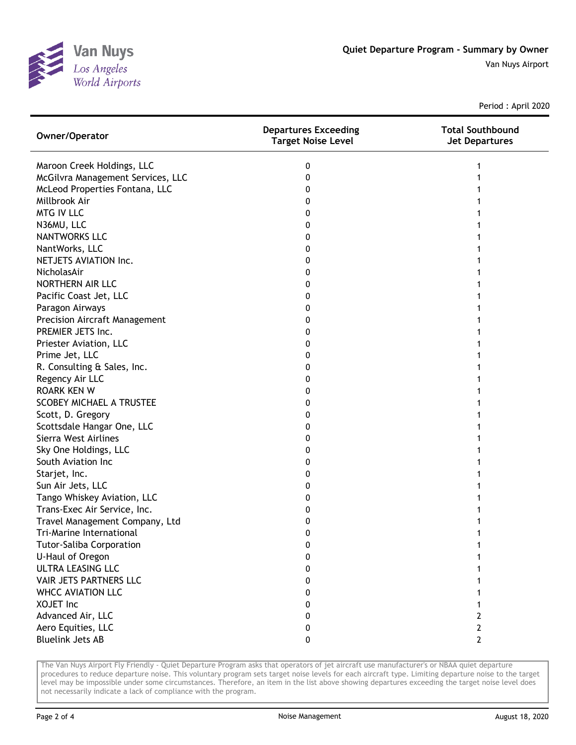

Period : April 2020

| Owner/Operator                       | <b>Departures Exceeding</b><br><b>Target Noise Level</b> | <b>Total Southbound</b><br><b>Jet Departures</b> |
|--------------------------------------|----------------------------------------------------------|--------------------------------------------------|
| Maroon Creek Holdings, LLC           | 0                                                        |                                                  |
| McGilvra Management Services, LLC    | 0                                                        |                                                  |
| McLeod Properties Fontana, LLC       | 0                                                        |                                                  |
| Millbrook Air                        | 0                                                        |                                                  |
| <b>MTG IV LLC</b>                    | 0                                                        |                                                  |
| N36MU, LLC                           | 0                                                        |                                                  |
| <b>NANTWORKS LLC</b>                 | 0                                                        |                                                  |
| NantWorks, LLC                       | 0                                                        |                                                  |
| NETJETS AVIATION Inc.                | 0                                                        |                                                  |
| NicholasAir                          | 0                                                        |                                                  |
| NORTHERN AIR LLC                     | 0                                                        |                                                  |
| Pacific Coast Jet, LLC               | 0                                                        |                                                  |
| Paragon Airways                      | 0                                                        |                                                  |
| <b>Precision Aircraft Management</b> | 0                                                        |                                                  |
| PREMIER JETS Inc.                    | 0                                                        |                                                  |
| Priester Aviation, LLC               | 0                                                        |                                                  |
| Prime Jet, LLC                       | 0                                                        |                                                  |
| R. Consulting & Sales, Inc.          | 0                                                        |                                                  |
| Regency Air LLC                      | 0                                                        |                                                  |
| <b>ROARK KEN W</b>                   | 0                                                        |                                                  |
| <b>SCOBEY MICHAEL A TRUSTEE</b>      | 0                                                        |                                                  |
| Scott, D. Gregory                    | 0                                                        |                                                  |
| Scottsdale Hangar One, LLC           | 0                                                        |                                                  |
| Sierra West Airlines                 | 0                                                        |                                                  |
| Sky One Holdings, LLC                | 0                                                        |                                                  |
| South Aviation Inc                   | 0                                                        |                                                  |
| Starjet, Inc.                        | 0                                                        |                                                  |
| Sun Air Jets, LLC                    | 0                                                        |                                                  |
| Tango Whiskey Aviation, LLC          | 0                                                        |                                                  |
| Trans-Exec Air Service, Inc.         | 0                                                        |                                                  |
| Travel Management Company, Ltd       | 0                                                        |                                                  |
| Tri-Marine International             | 0                                                        |                                                  |
| <b>Tutor-Saliba Corporation</b>      | 0                                                        |                                                  |
| U-Haul of Oregon                     | 0                                                        |                                                  |
| ULTRA LEASING LLC                    | 0                                                        |                                                  |
| VAIR JETS PARTNERS LLC               | 0                                                        |                                                  |
| <b>WHCC AVIATION LLC</b>             | 0                                                        |                                                  |
| XOJET Inc                            | 0                                                        |                                                  |
| Advanced Air, LLC                    | 0                                                        | 2                                                |
| Aero Equities, LLC                   | 0                                                        | 2                                                |
| <b>Bluelink Jets AB</b>              | 0                                                        | $\mathbf{2}$                                     |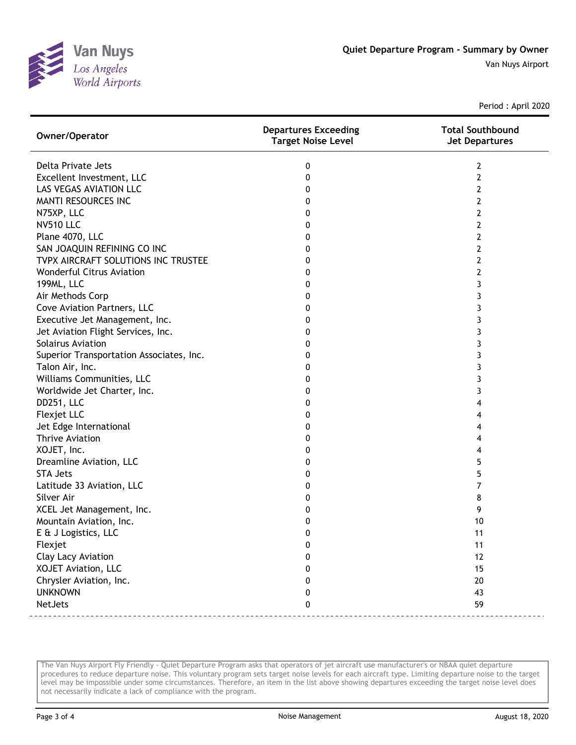

Period : April 2020

| Owner/Operator                           | <b>Departures Exceeding</b><br><b>Target Noise Level</b> | <b>Total Southbound</b><br><b>Jet Departures</b> |
|------------------------------------------|----------------------------------------------------------|--------------------------------------------------|
| Delta Private Jets                       | 0                                                        | 2                                                |
| Excellent Investment, LLC                | 0                                                        | 2                                                |
| LAS VEGAS AVIATION LLC                   | 0                                                        | 2                                                |
| MANTI RESOURCES INC                      | 0                                                        | 2                                                |
| N75XP, LLC                               | 0                                                        | 2                                                |
| <b>NV510 LLC</b>                         | 0                                                        | 2                                                |
| Plane 4070, LLC                          | 0                                                        | 2                                                |
| SAN JOAQUIN REFINING CO INC              | 0                                                        | 2                                                |
| TVPX AIRCRAFT SOLUTIONS INC TRUSTEE      | 0                                                        | 2                                                |
| <b>Wonderful Citrus Aviation</b>         | 0                                                        | $\overline{2}$                                   |
| 199ML, LLC                               | 0                                                        | 3                                                |
| Air Methods Corp                         | 0                                                        | 3                                                |
| Cove Aviation Partners, LLC              | 0                                                        | 3                                                |
| Executive Jet Management, Inc.           | 0                                                        | 3                                                |
| Jet Aviation Flight Services, Inc.       | 0                                                        | 3                                                |
| Solairus Aviation                        | 0                                                        | 3                                                |
| Superior Transportation Associates, Inc. | 0                                                        | 3                                                |
| Talon Air, Inc.                          | 0                                                        | 3                                                |
| Williams Communities, LLC                | 0                                                        | 3                                                |
| Worldwide Jet Charter, Inc.              | 0                                                        | 3                                                |
| DD251, LLC                               | 0                                                        | 4                                                |
| Flexjet LLC                              | 0                                                        | 4                                                |
| Jet Edge International                   | 0                                                        | 4                                                |
| <b>Thrive Aviation</b>                   | 0                                                        | 4                                                |
| XOJET, Inc.                              | 0                                                        | 4                                                |
| Dreamline Aviation, LLC                  | 0                                                        | 5                                                |
| <b>STA Jets</b>                          | 0                                                        | 5                                                |
| Latitude 33 Aviation, LLC                | 0                                                        | 7                                                |
| Silver Air                               | 0                                                        | 8                                                |
| XCEL Jet Management, Inc.                | 0                                                        | 9                                                |
| Mountain Aviation, Inc.                  | 0                                                        | 10                                               |
| E & J Logistics, LLC                     | 0                                                        | 11                                               |
| Flexjet                                  | 0                                                        | 11                                               |
| Clay Lacy Aviation                       | 0                                                        | 12                                               |
| XOJET Aviation, LLC                      | 0                                                        | 15                                               |
| Chrysler Aviation, Inc.                  | 0                                                        | 20                                               |
| <b>UNKNOWN</b>                           | 0                                                        | 43                                               |
| NetJets                                  | 0                                                        | 59                                               |